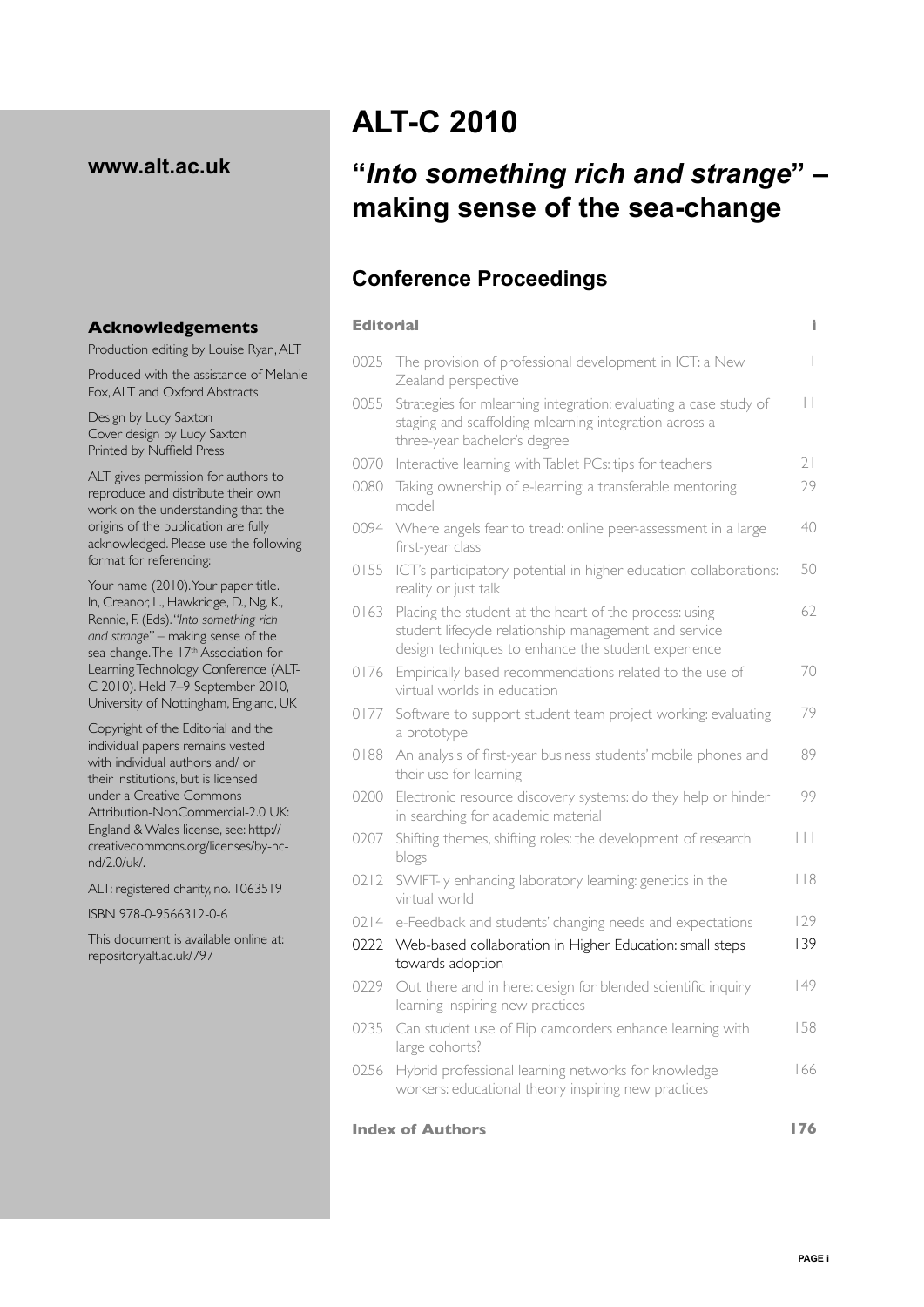## **www.alt.ac.uk**

#### **Acknowledgements**

Production editing by Louise Ryan, ALT

Produced with the assistance of Melanie Fox, ALT and Oxford Abstracts

Design by Lucy Saxton Cover design by Lucy Saxton Printed by Nuffield Press

ALT gives permission for authors to reproduce and distribute their own work on the understanding that the origins of the publication are fully acknowledged. Please use the following format for referencing:

Your name (2010). Your paper title. In, Creanor, L., Hawkridge, D., Ng, K., Rennie, F. (Eds). "*Into something rich and strange*" – making sense of the sea-change. The 17<sup>th</sup> Association for Learning Technology Conference (ALT-C 2010). Held 7–9 September 2010, University of Nottingham, England, UK

Copyright of the Editorial and the individual papers remains vested with individual authors and/ or their institutions, but is licensed under a Creative Commons Attribution-NonCommercial-2.0 UK: England & Wales license, see: http:// creativecommons.org/licenses/by-ncnd/2.0/uk/.

ALT: registered charity, no. 1063519

ISBN 978-0-9566312-0-6

This document is available online at: repository.alt.ac.uk/797

# **ALT-C 2010**

## **"***Into something rich and strange***" – making sense of the sea-change**

## **Conference Proceedings**

| <b>Editorial</b><br>Î.         |                                                                                                                                                                        |                         |  |
|--------------------------------|------------------------------------------------------------------------------------------------------------------------------------------------------------------------|-------------------------|--|
| 0025                           | The provision of professional development in ICT: a New<br>Zealand perspective                                                                                         | I                       |  |
| 0055                           | Strategies for mlearning integration: evaluating a case study of<br>staging and scaffolding mlearning integration across a<br>three-year bachelor's degree             |                         |  |
| 0070                           | Interactive learning with Tablet PCs: tips for teachers                                                                                                                | 21                      |  |
| 0080                           | Taking ownership of e-learning: a transferable mentoring<br>model                                                                                                      |                         |  |
| 0094                           | Where angels fear to tread: online peer-assessment in a large<br>first-year class                                                                                      |                         |  |
| 0155                           | ICT's participatory potential in higher education collaborations:<br>reality or just talk                                                                              |                         |  |
| 0163                           | Placing the student at the heart of the process: using<br>student lifecycle relationship management and service<br>design techniques to enhance the student experience |                         |  |
| 0176                           | Empirically based recommendations related to the use of<br>virtual worlds in education                                                                                 | 70                      |  |
| 0177                           | Software to support student team project working: evaluating<br>a prototype                                                                                            | 79                      |  |
| 0188                           | An analysis of first-year business students' mobile phones and<br>their use for learning                                                                               | 89                      |  |
| 0200                           | Electronic resource discovery systems: do they help or hinder<br>in searching for academic material                                                                    | 99                      |  |
| 0207                           | Shifting themes, shifting roles: the development of research<br>blogs                                                                                                  | $\vert \ \vert \ \vert$ |  |
| 0212                           | SWIFT-ly enhancing laboratory learning: genetics in the<br>virtual world                                                                                               | 118                     |  |
| 0214                           | e-Feedback and students' changing needs and expectations                                                                                                               | 129                     |  |
| 0222                           | Web-based collaboration in Higher Education: small steps<br>towards adoption                                                                                           | 139                     |  |
| 0229                           | Out there and in here: design for blended scientific inquiry<br>learning inspiring new practices                                                                       | 149                     |  |
| 0235                           | Can student use of Flip camcorders enhance learning with<br>large cohorts?                                                                                             |                         |  |
| 0256                           | Hybrid professional learning networks for knowledge<br>workers: educational theory inspiring new practices                                                             | 166                     |  |
| <b>Index of Authors</b><br>176 |                                                                                                                                                                        |                         |  |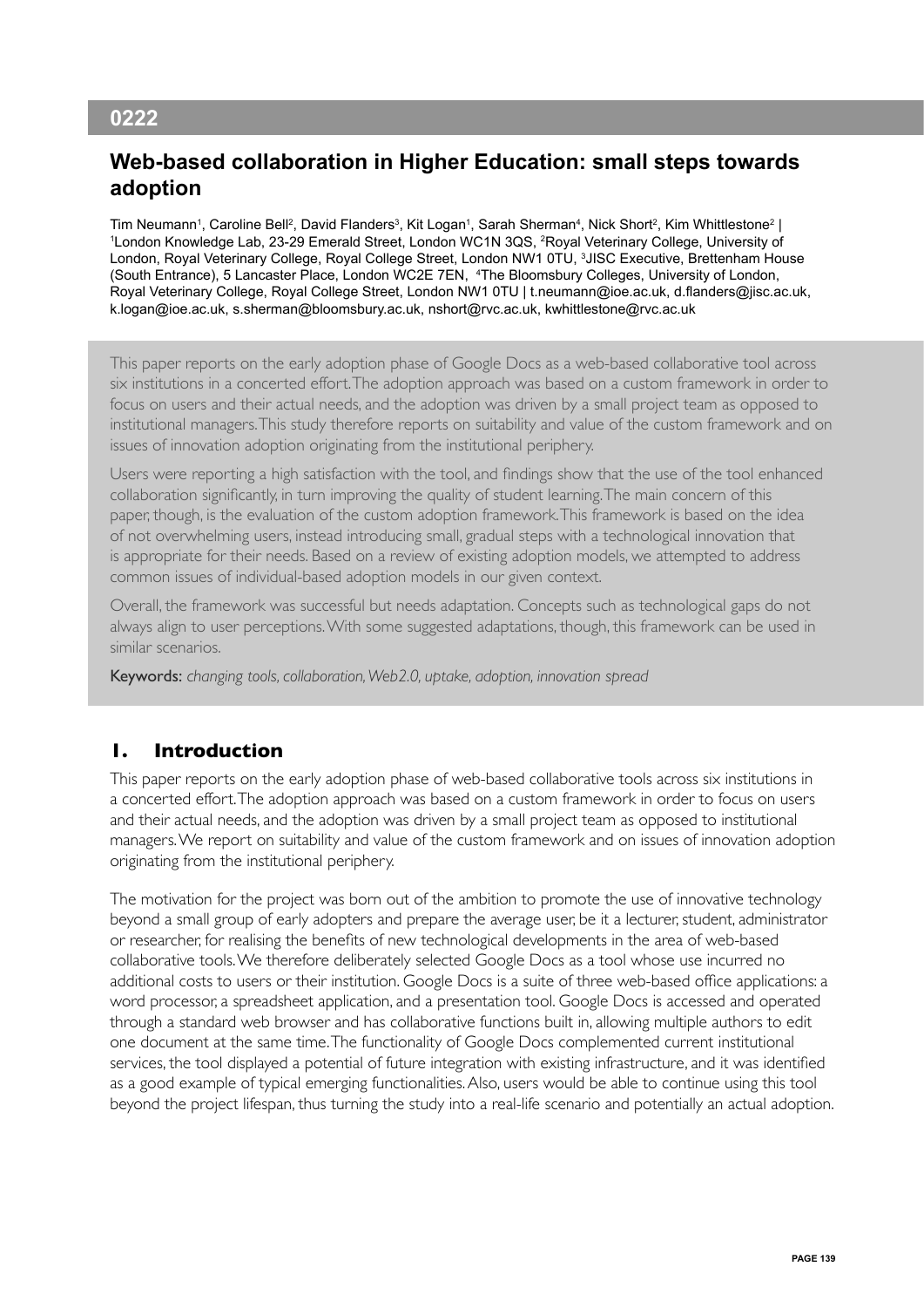## **0222**

## **Web-based collaboration in Higher Education: small steps towards adoption**

Tim Neumann1, Caroline Bell², David Flanders<sup>3</sup>, Kit Logan1, Sarah Sherman<sup>4</sup>, Nick Short<sup>2</sup>, Kim Whittlestone<sup>2</sup> |<br>1 ondon Knowledge Lab, 23-29 Emerald Street, London WC1N 3OS, <sup>2</sup>Roval Veterinary College, University of London Knowledge Lab, 23-29 Emerald Street, London WC1N 3QS, 2 Royal Veterinary College, University of London, Royal Veterinary College, Royal College Street, London NW1 0TU, 3 JISC Executive, Brettenham House (South Entrance), 5 Lancaster Place, London WC2E 7EN, 4 The Bloomsbury Colleges, University of London, Royal Veterinary College, Royal College Street, London NW1 0TU | t.neumann@ioe.ac.uk, d.flanders@jisc.ac.uk, k.logan@ioe.ac.uk, s.sherman@bloomsbury.ac.uk, nshort@rvc.ac.uk, kwhittlestone@rvc.ac.uk

This paper reports on the early adoption phase of Google Docs as a web-based collaborative tool across six institutions in a concerted effort. The adoption approach was based on a custom framework in order to focus on users and their actual needs, and the adoption was driven by a small project team as opposed to institutional managers. This study therefore reports on suitability and value of the custom framework and on issues of innovation adoption originating from the institutional periphery.

Users were reporting a high satisfaction with the tool, and findings show that the use of the tool enhanced collaboration significantly, in turn improving the quality of student learning. The main concern of this paper, though, is the evaluation of the custom adoption framework. This framework is based on the idea of not overwhelming users, instead introducing small, gradual steps with a technological innovation that is appropriate for their needs. Based on a review of existing adoption models, we attempted to address common issues of individual-based adoption models in our given context.

Overall, the framework was successful but needs adaptation. Concepts such as technological gaps do not always align to user perceptions. With some suggested adaptations, though, this framework can be used in similar scenarios.

Keywords: *changing tools, collaboration, Web2.0, uptake, adoption, innovation spread*

## **1. Introduction**

This paper reports on the early adoption phase of web-based collaborative tools across six institutions in a concerted effort. The adoption approach was based on a custom framework in order to focus on users and their actual needs, and the adoption was driven by a small project team as opposed to institutional managers. We report on suitability and value of the custom framework and on issues of innovation adoption originating from the institutional periphery.

The motivation for the project was born out of the ambition to promote the use of innovative technology beyond a small group of early adopters and prepare the average user, be it a lecturer, student, administrator or researcher, for realising the benefits of new technological developments in the area of web-based collaborative tools. We therefore deliberately selected Google Docs as a tool whose use incurred no additional costs to users or their institution. Google Docs is a suite of three web-based office applications: a word processor, a spreadsheet application, and a presentation tool. Google Docs is accessed and operated through a standard web browser and has collaborative functions built in, allowing multiple authors to edit one document at the same time. The functionality of Google Docs complemented current institutional services, the tool displayed a potential of future integration with existing infrastructure, and it was identified as a good example of typical emerging functionalities. Also, users would be able to continue using this tool beyond the project lifespan, thus turning the study into a real-life scenario and potentially an actual adoption.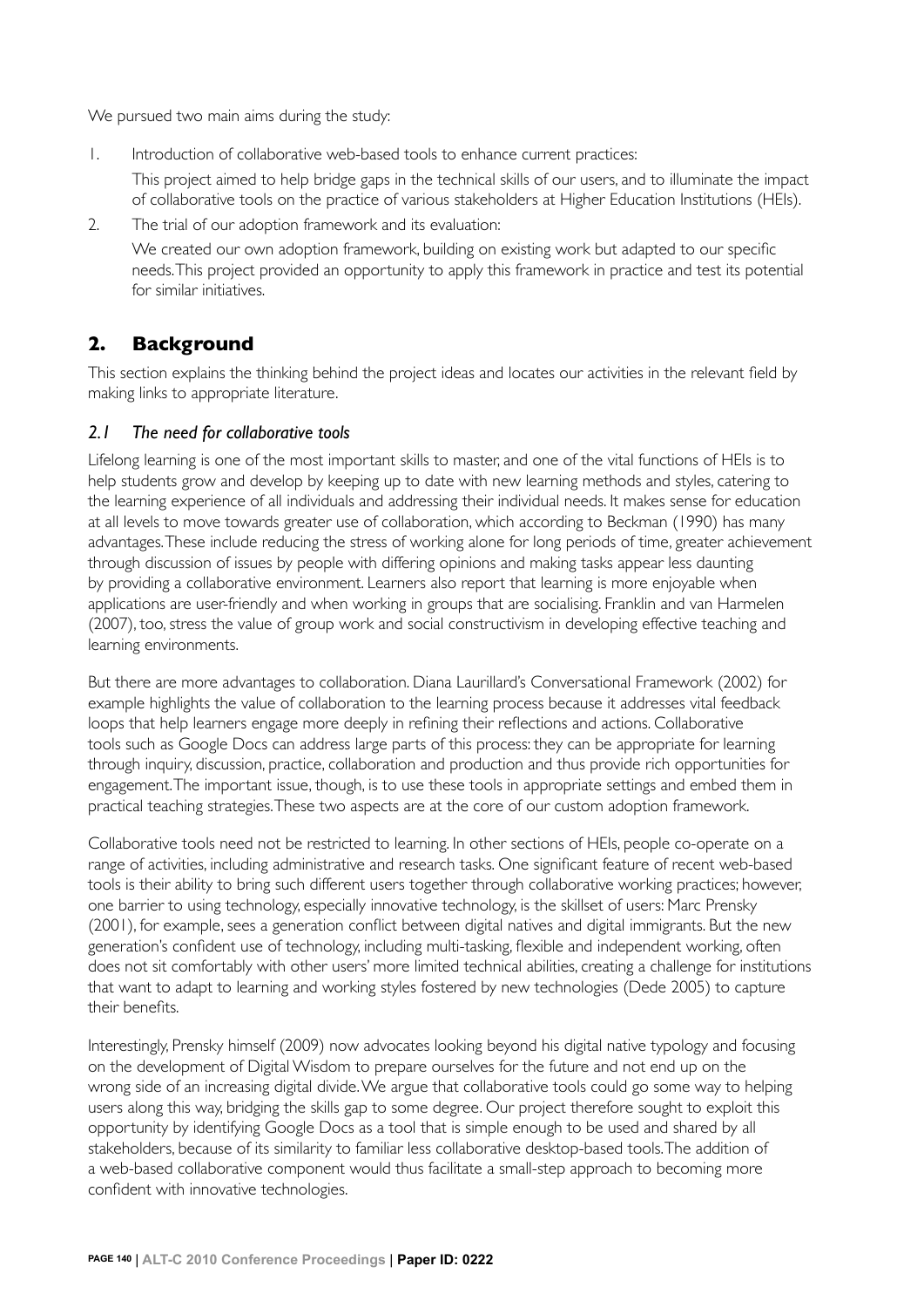We pursued two main aims during the study:

1. Introduction of collaborative web-based tools to enhance current practices:

 This project aimed to help bridge gaps in the technical skills of our users, and to illuminate the impact of collaborative tools on the practice of various stakeholders at Higher Education Institutions (HEIs).

2. The trial of our adoption framework and its evaluation:

 We created our own adoption framework, building on existing work but adapted to our specific needs. This project provided an opportunity to apply this framework in practice and test its potential for similar initiatives.

## **2. Background**

This section explains the thinking behind the project ideas and locates our activities in the relevant field by making links to appropriate literature.

#### *2.1 The need for collaborative tools*

Lifelong learning is one of the most important skills to master, and one of the vital functions of HEIs is to help students grow and develop by keeping up to date with new learning methods and styles, catering to the learning experience of all individuals and addressing their individual needs. It makes sense for education at all levels to move towards greater use of collaboration, which according to Beckman (1990) has many advantages. These include reducing the stress of working alone for long periods of time, greater achievement through discussion of issues by people with differing opinions and making tasks appear less daunting by providing a collaborative environment. Learners also report that learning is more enjoyable when applications are user-friendly and when working in groups that are socialising. Franklin and van Harmelen (2007), too, stress the value of group work and social constructivism in developing effective teaching and learning environments.

But there are more advantages to collaboration. Diana Laurillard's Conversational Framework (2002) for example highlights the value of collaboration to the learning process because it addresses vital feedback loops that help learners engage more deeply in refining their reflections and actions. Collaborative tools such as Google Docs can address large parts of this process: they can be appropriate for learning through inquiry, discussion, practice, collaboration and production and thus provide rich opportunities for engagement. The important issue, though, is to use these tools in appropriate settings and embed them in practical teaching strategies. These two aspects are at the core of our custom adoption framework.

Collaborative tools need not be restricted to learning. In other sections of HEIs, people co-operate on a range of activities, including administrative and research tasks. One significant feature of recent web-based tools is their ability to bring such different users together through collaborative working practices; however, one barrier to using technology, especially innovative technology, is the skillset of users: Marc Prensky (2001), for example, sees a generation conflict between digital natives and digital immigrants. But the new generation's confident use of technology, including multi-tasking, flexible and independent working, often does not sit comfortably with other users' more limited technical abilities, creating a challenge for institutions that want to adapt to learning and working styles fostered by new technologies (Dede 2005) to capture their benefits.

Interestingly, Prensky himself (2009) now advocates looking beyond his digital native typology and focusing on the development of Digital Wisdom to prepare ourselves for the future and not end up on the wrong side of an increasing digital divide. We argue that collaborative tools could go some way to helping users along this way, bridging the skills gap to some degree. Our project therefore sought to exploit this opportunity by identifying Google Docs as a tool that is simple enough to be used and shared by all stakeholders, because of its similarity to familiar less collaborative desktop-based tools. The addition of a web-based collaborative component would thus facilitate a small-step approach to becoming more confident with innovative technologies.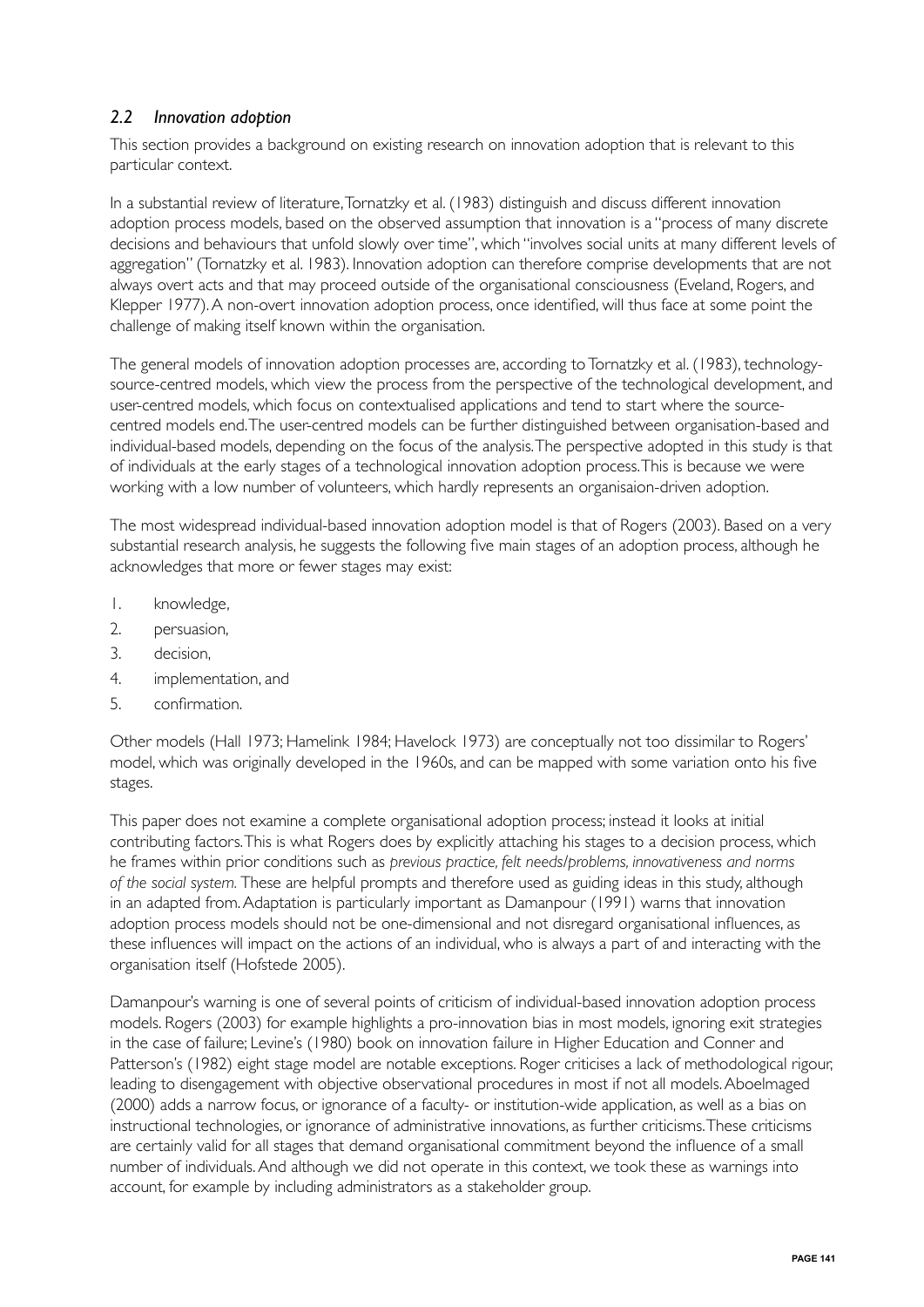## *2.2 Innovation adoption*

This section provides a background on existing research on innovation adoption that is relevant to this particular context.

In a substantial review of literature, Tornatzky et al. (1983) distinguish and discuss different innovation adoption process models, based on the observed assumption that innovation is a "process of many discrete decisions and behaviours that unfold slowly over time", which "involves social units at many different levels of aggregation" (Tornatzky et al. 1983). Innovation adoption can therefore comprise developments that are not always overt acts and that may proceed outside of the organisational consciousness (Eveland, Rogers, and Klepper 1977). A non-overt innovation adoption process, once identified, will thus face at some point the challenge of making itself known within the organisation.

The general models of innovation adoption processes are, according to Tornatzky et al. (1983), technologysource-centred models, which view the process from the perspective of the technological development, and user-centred models, which focus on contextualised applications and tend to start where the sourcecentred models end. The user-centred models can be further distinguished between organisation-based and individual-based models, depending on the focus of the analysis. The perspective adopted in this study is that of individuals at the early stages of a technological innovation adoption process. This is because we were working with a low number of volunteers, which hardly represents an organisaion-driven adoption.

The most widespread individual-based innovation adoption model is that of Rogers (2003). Based on a very substantial research analysis, he suggests the following five main stages of an adoption process, although he acknowledges that more or fewer stages may exist:

- 1. knowledge,
- 2. persuasion,
- 3. decision,
- 4. implementation, and
- 5. confirmation.

Other models (Hall 1973; Hamelink 1984; Havelock 1973) are conceptually not too dissimilar to Rogers' model, which was originally developed in the 1960s, and can be mapped with some variation onto his five stages.

This paper does not examine a complete organisational adoption process; instead it looks at initial contributing factors. This is what Rogers does by explicitly attaching his stages to a decision process, which he frames within prior conditions such as *previous practice, felt needs/problems, innovativeness and norms of the social system.* These are helpful prompts and therefore used as guiding ideas in this study, although in an adapted from. Adaptation is particularly important as Damanpour (1991) warns that innovation adoption process models should not be one-dimensional and not disregard organisational influences, as these influences will impact on the actions of an individual, who is always a part of and interacting with the organisation itself (Hofstede 2005).

Damanpour's warning is one of several points of criticism of individual-based innovation adoption process models. Rogers (2003) for example highlights a pro-innovation bias in most models, ignoring exit strategies in the case of failure; Levine's (1980) book on innovation failure in Higher Education and Conner and Patterson's (1982) eight stage model are notable exceptions. Roger criticises a lack of methodological rigour, leading to disengagement with objective observational procedures in most if not all models. Aboelmaged (2000) adds a narrow focus, or ignorance of a faculty- or institution-wide application, as well as a bias on instructional technologies, or ignorance of administrative innovations, as further criticisms. These criticisms are certainly valid for all stages that demand organisational commitment beyond the influence of a small number of individuals. And although we did not operate in this context, we took these as warnings into account, for example by including administrators as a stakeholder group.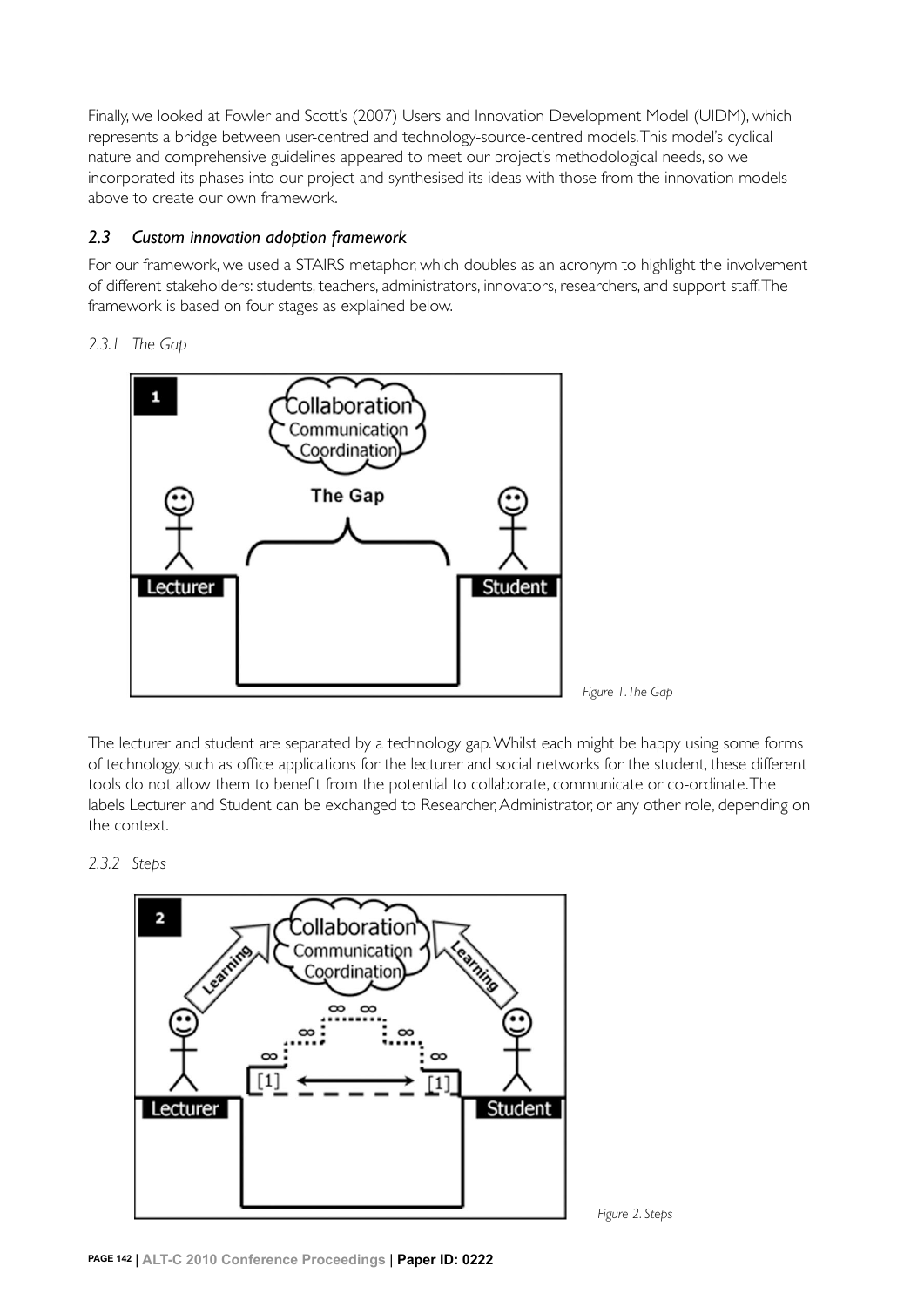Finally, we looked at Fowler and Scott's (2007) Users and Innovation Development Model (UIDM), which represents a bridge between user-centred and technology-source-centred models. This model's cyclical nature and comprehensive guidelines appeared to meet our project's methodological needs, so we incorporated its phases into our project and synthesised its ideas with those from the innovation models above to create our own framework.

## *2.3 Custom innovation adoption framework*

For our framework, we used a STAIRS metaphor, which doubles as an acronym to highlight the involvement of different stakeholders: students, teachers, administrators, innovators, researchers, and support staff. The framework is based on four stages as explained below.

## *2.3.1 The Gap*



The lecturer and student are separated by a technology gap. Whilst each might be happy using some forms of technology, such as office applications for the lecturer and social networks for the student, these different tools do not allow them to benefit from the potential to collaborate, communicate or co-ordinate. The labels Lecturer and Student can be exchanged to Researcher, Administrator, or any other role, depending on the context.

 *Figure 2. Steps*

## *2.3.2 Steps*

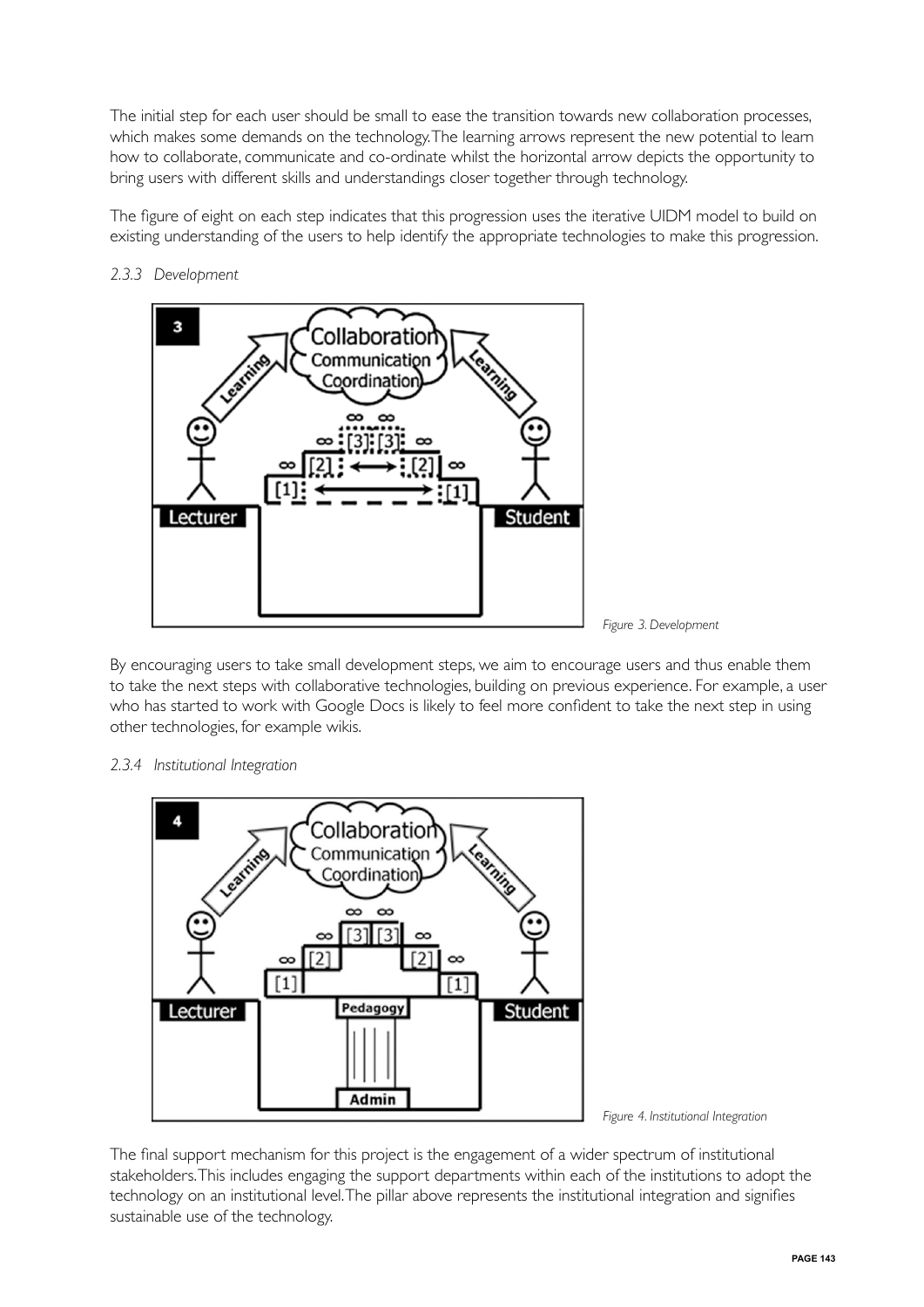The initial step for each user should be small to ease the transition towards new collaboration processes, which makes some demands on the technology. The learning arrows represent the new potential to learn how to collaborate, communicate and co-ordinate whilst the horizontal arrow depicts the opportunity to bring users with different skills and understandings closer together through technology.

The figure of eight on each step indicates that this progression uses the iterative UIDM model to build on existing understanding of the users to help identify the appropriate technologies to make this progression.



## *2.3.3 Development*



By encouraging users to take small development steps, we aim to encourage users and thus enable them to take the next steps with collaborative technologies, building on previous experience. For example, a user who has started to work with Google Docs is likely to feel more confident to take the next step in using other technologies, for example wikis.

#### *2.3.4 Institutional Integration*





The final support mechanism for this project is the engagement of a wider spectrum of institutional stakeholders. This includes engaging the support departments within each of the institutions to adopt the technology on an institutional level. The pillar above represents the institutional integration and signifies sustainable use of the technology.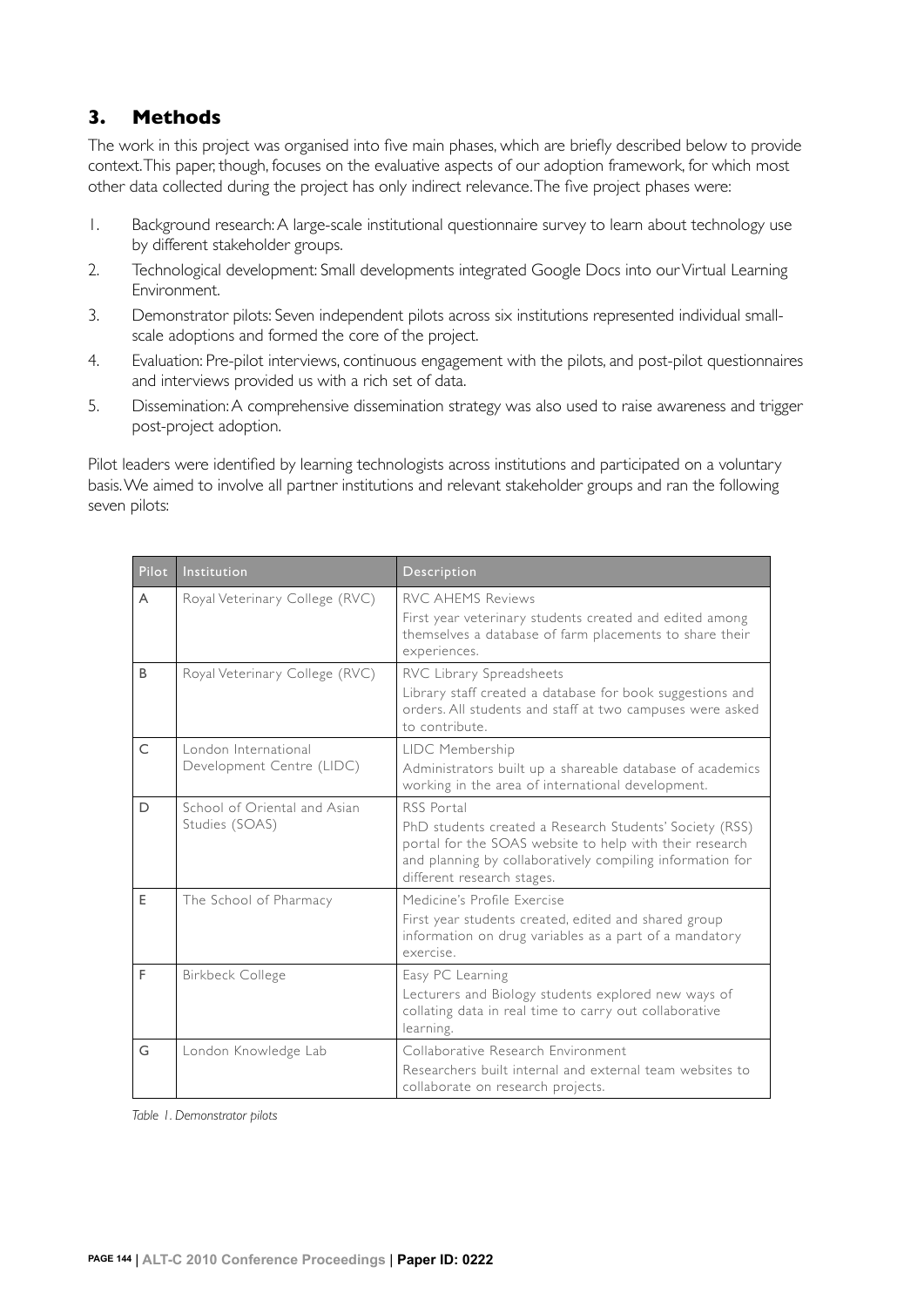## **3. Methods**

The work in this project was organised into five main phases, which are briefly described below to provide context. This paper, though, focuses on the evaluative aspects of our adoption framework, for which most other data collected during the project has only indirect relevance. The five project phases were:

- 1. Background research: A large-scale institutional questionnaire survey to learn about technology use by different stakeholder groups.
- 2. Technological development: Small developments integrated Google Docs into our Virtual Learning Environment.
- 3. Demonstrator pilots: Seven independent pilots across six institutions represented individual smallscale adoptions and formed the core of the project.
- 4. Evaluation: Pre-pilot interviews, continuous engagement with the pilots, and post-pilot questionnaires and interviews provided us with a rich set of data.
- 5. Dissemination: A comprehensive dissemination strategy was also used to raise awareness and trigger post-project adoption.

Pilot leaders were identified by learning technologists across institutions and participated on a voluntary basis. We aimed to involve all partner institutions and relevant stakeholder groups and ran the following seven pilots:

| Pilot        | Institution                                       | <b>Description</b>                                                                                                                                                                                                          |
|--------------|---------------------------------------------------|-----------------------------------------------------------------------------------------------------------------------------------------------------------------------------------------------------------------------------|
| A            | Royal Veterinary College (RVC)                    | <b>RVC AHEMS Reviews</b><br>First year veterinary students created and edited among<br>themselves a database of farm placements to share their<br>experiences.                                                              |
| B            | Royal Veterinary College (RVC)                    | RVC Library Spreadsheets<br>Library staff created a database for book suggestions and<br>orders. All students and staff at two campuses were asked<br>to contribute.                                                        |
| $\mathsf{C}$ | London International<br>Development Centre (LIDC) | LIDC Membership<br>Administrators built up a shareable database of academics<br>working in the area of international development.                                                                                           |
| D            | School of Oriental and Asian<br>Studies (SOAS)    | RSS Portal<br>PhD students created a Research Students' Society (RSS)<br>portal for the SOAS website to help with their research<br>and planning by collaboratively compiling information for<br>different research stages. |
| E            | The School of Pharmacy                            | Medicine's Profile Exercise<br>First year students created, edited and shared group<br>information on drug variables as a part of a mandatory<br>exercise                                                                   |
| F            | <b>Birkbeck College</b>                           | Easy PC Learning<br>Lecturers and Biology students explored new ways of<br>collating data in real time to carry out collaborative<br>learning.                                                                              |
| G            | London Knowledge Lab                              | Collaborative Research Environment<br>Researchers built internal and external team websites to<br>collaborate on research projects.                                                                                         |

*Table 1. Demonstrator pilots*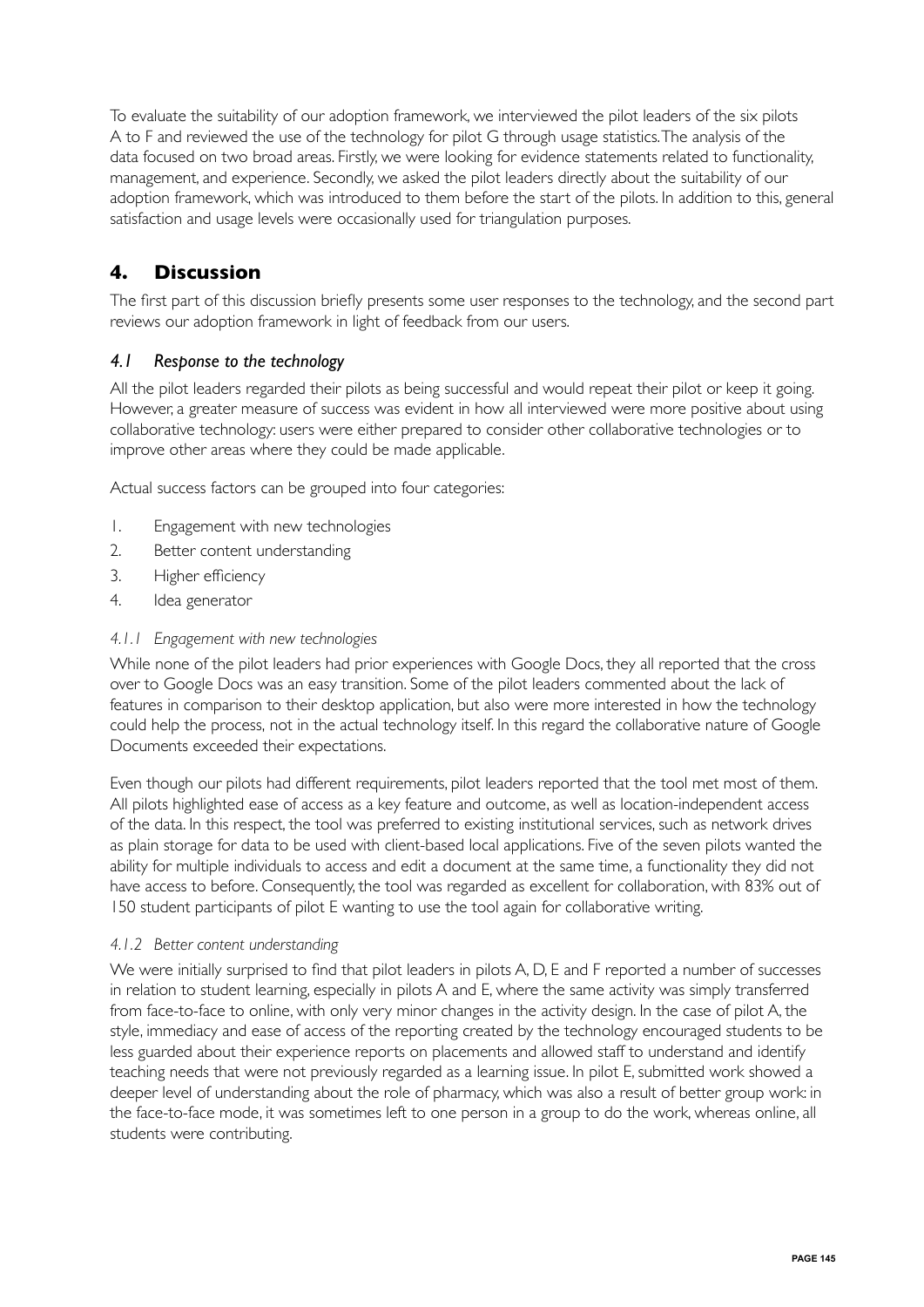To evaluate the suitability of our adoption framework, we interviewed the pilot leaders of the six pilots A to F and reviewed the use of the technology for pilot G through usage statistics. The analysis of the data focused on two broad areas. Firstly, we were looking for evidence statements related to functionality, management, and experience. Secondly, we asked the pilot leaders directly about the suitability of our adoption framework, which was introduced to them before the start of the pilots. In addition to this, general satisfaction and usage levels were occasionally used for triangulation purposes.

## **4. Discussion**

The first part of this discussion briefly presents some user responses to the technology, and the second part reviews our adoption framework in light of feedback from our users.

#### *4.1 Response to the technology*

All the pilot leaders regarded their pilots as being successful and would repeat their pilot or keep it going. However, a greater measure of success was evident in how all interviewed were more positive about using collaborative technology: users were either prepared to consider other collaborative technologies or to improve other areas where they could be made applicable.

Actual success factors can be grouped into four categories:

- 1. Engagement with new technologies
- 2. Better content understanding
- 3. Higher efficiency
- 4. Idea generator

#### *4.1.1 Engagement with new technologies*

While none of the pilot leaders had prior experiences with Google Docs, they all reported that the cross over to Google Docs was an easy transition. Some of the pilot leaders commented about the lack of features in comparison to their desktop application, but also were more interested in how the technology could help the process, not in the actual technology itself. In this regard the collaborative nature of Google Documents exceeded their expectations.

Even though our pilots had different requirements, pilot leaders reported that the tool met most of them. All pilots highlighted ease of access as a key feature and outcome, as well as location-independent access of the data. In this respect, the tool was preferred to existing institutional services, such as network drives as plain storage for data to be used with client-based local applications. Five of the seven pilots wanted the ability for multiple individuals to access and edit a document at the same time, a functionality they did not have access to before. Consequently, the tool was regarded as excellent for collaboration, with 83% out of 150 student participants of pilot E wanting to use the tool again for collaborative writing.

#### *4.1.2 Better content understanding*

We were initially surprised to find that pilot leaders in pilots A, D, E and F reported a number of successes in relation to student learning, especially in pilots A and E, where the same activity was simply transferred from face-to-face to online, with only very minor changes in the activity design. In the case of pilot A, the style, immediacy and ease of access of the reporting created by the technology encouraged students to be less guarded about their experience reports on placements and allowed staff to understand and identify teaching needs that were not previously regarded as a learning issue. In pilot E, submitted work showed a deeper level of understanding about the role of pharmacy, which was also a result of better group work: in the face-to-face mode, it was sometimes left to one person in a group to do the work, whereas online, all students were contributing.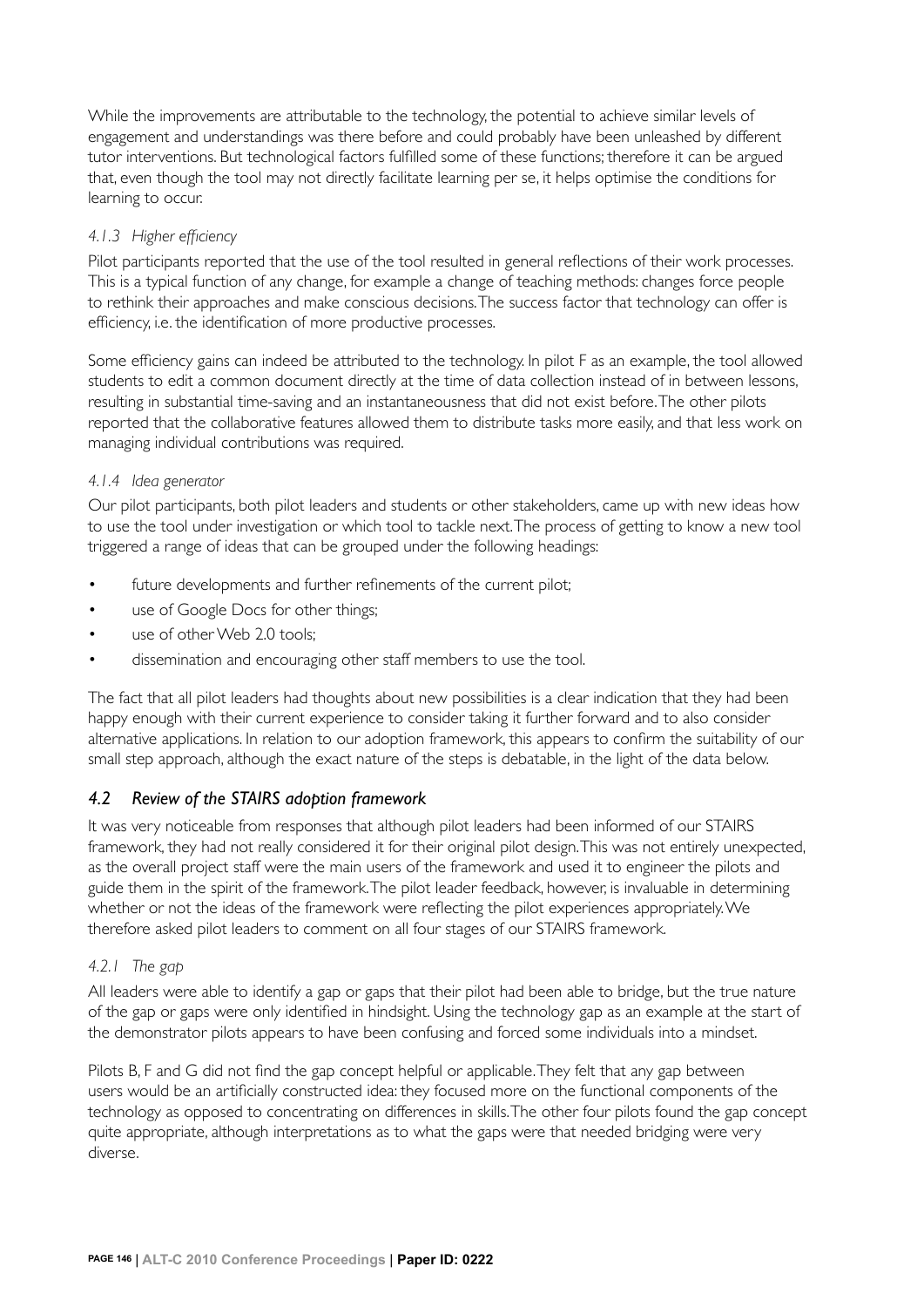While the improvements are attributable to the technology, the potential to achieve similar levels of engagement and understandings was there before and could probably have been unleashed by different tutor interventions. But technological factors fulfilled some of these functions; therefore it can be argued that, even though the tool may not directly facilitate learning per se, it helps optimise the conditions for learning to occur.

#### *4.1.3 Higher efficiency*

Pilot participants reported that the use of the tool resulted in general reflections of their work processes. This is a typical function of any change, for example a change of teaching methods: changes force people to rethink their approaches and make conscious decisions. The success factor that technology can offer is efficiency, i.e. the identification of more productive processes.

Some efficiency gains can indeed be attributed to the technology. In pilot F as an example, the tool allowed students to edit a common document directly at the time of data collection instead of in between lessons, resulting in substantial time-saving and an instantaneousness that did not exist before. The other pilots reported that the collaborative features allowed them to distribute tasks more easily, and that less work on managing individual contributions was required.

#### *4.1.4 Idea generator*

Our pilot participants, both pilot leaders and students or other stakeholders, came up with new ideas how to use the tool under investigation or which tool to tackle next. The process of getting to know a new tool triggered a range of ideas that can be grouped under the following headings:

- future developments and further refinements of the current pilot;
- use of Google Docs for other things;
- use of other Web 2.0 tools;
- dissemination and encouraging other staff members to use the tool.

The fact that all pilot leaders had thoughts about new possibilities is a clear indication that they had been happy enough with their current experience to consider taking it further forward and to also consider alternative applications. In relation to our adoption framework, this appears to confirm the suitability of our small step approach, although the exact nature of the steps is debatable, in the light of the data below.

## *4.2 Review of the STAIRS adoption framework*

It was very noticeable from responses that although pilot leaders had been informed of our STAIRS framework, they had not really considered it for their original pilot design. This was not entirely unexpected, as the overall project staff were the main users of the framework and used it to engineer the pilots and guide them in the spirit of the framework. The pilot leader feedback, however, is invaluable in determining whether or not the ideas of the framework were reflecting the pilot experiences appropriately. We therefore asked pilot leaders to comment on all four stages of our STAIRS framework.

## *4.2.1 The gap*

All leaders were able to identify a gap or gaps that their pilot had been able to bridge, but the true nature of the gap or gaps were only identified in hindsight. Using the technology gap as an example at the start of the demonstrator pilots appears to have been confusing and forced some individuals into a mindset.

Pilots B, F and G did not find the gap concept helpful or applicable. They felt that any gap between users would be an artificially constructed idea: they focused more on the functional components of the technology as opposed to concentrating on differences in skills. The other four pilots found the gap concept quite appropriate, although interpretations as to what the gaps were that needed bridging were very diverse.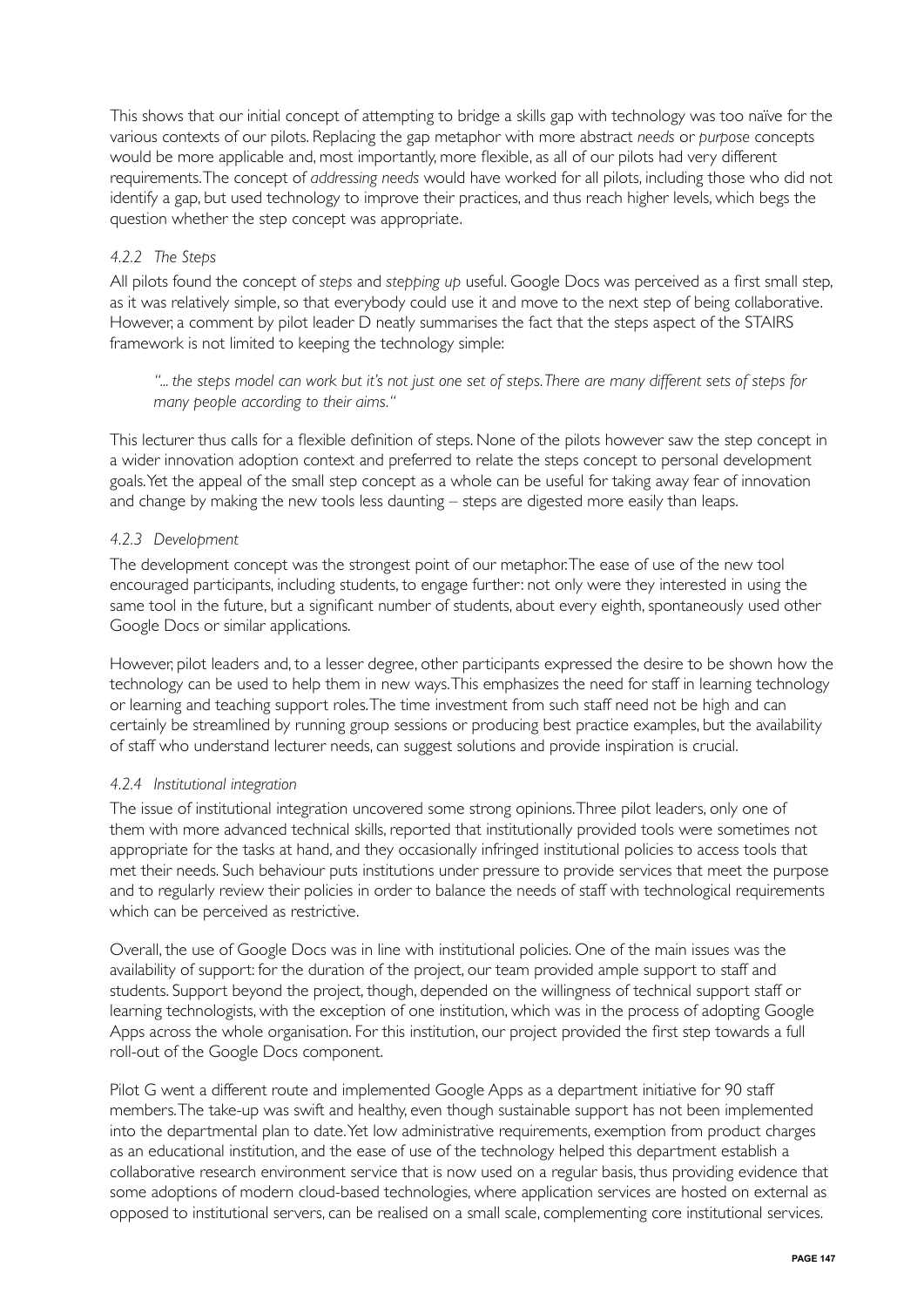This shows that our initial concept of attempting to bridge a skills gap with technology was too naïve for the various contexts of our pilots. Replacing the gap metaphor with more abstract *needs* or *purpose* concepts would be more applicable and, most importantly, more flexible, as all of our pilots had very different requirements. The concept of *addressing needs* would have worked for all pilots, including those who did not identify a gap, but used technology to improve their practices, and thus reach higher levels, which begs the question whether the step concept was appropriate.

## *4.2.2 The Steps*

All pilots found the concept of *steps* and *stepping up* useful. Google Docs was perceived as a first small step, as it was relatively simple, so that everybody could use it and move to the next step of being collaborative. However, a comment by pilot leader D neatly summarises the fact that the steps aspect of the STAIRS framework is not limited to keeping the technology simple:

 *"... the steps model can work but it's not just one set of steps. There are many different sets of steps for many people according to their aims."*

This lecturer thus calls for a flexible definition of steps. None of the pilots however saw the step concept in a wider innovation adoption context and preferred to relate the steps concept to personal development goals. Yet the appeal of the small step concept as a whole can be useful for taking away fear of innovation and change by making the new tools less daunting – steps are digested more easily than leaps.

#### *4.2.3 Development*

The development concept was the strongest point of our metaphor. The ease of use of the new tool encouraged participants, including students, to engage further: not only were they interested in using the same tool in the future, but a significant number of students, about every eighth, spontaneously used other Google Docs or similar applications.

However, pilot leaders and, to a lesser degree, other participants expressed the desire to be shown how the technology can be used to help them in new ways. This emphasizes the need for staff in learning technology or learning and teaching support roles. The time investment from such staff need not be high and can certainly be streamlined by running group sessions or producing best practice examples, but the availability of staff who understand lecturer needs, can suggest solutions and provide inspiration is crucial.

#### *4.2.4 Institutional integration*

The issue of institutional integration uncovered some strong opinions. Three pilot leaders, only one of them with more advanced technical skills, reported that institutionally provided tools were sometimes not appropriate for the tasks at hand, and they occasionally infringed institutional policies to access tools that met their needs. Such behaviour puts institutions under pressure to provide services that meet the purpose and to regularly review their policies in order to balance the needs of staff with technological requirements which can be perceived as restrictive.

Overall, the use of Google Docs was in line with institutional policies. One of the main issues was the availability of support: for the duration of the project, our team provided ample support to staff and students. Support beyond the project, though, depended on the willingness of technical support staff or learning technologists, with the exception of one institution, which was in the process of adopting Google Apps across the whole organisation. For this institution, our project provided the first step towards a full roll-out of the Google Docs component.

Pilot G went a different route and implemented Google Apps as a department initiative for 90 staff members. The take-up was swift and healthy, even though sustainable support has not been implemented into the departmental plan to date. Yet low administrative requirements, exemption from product charges as an educational institution, and the ease of use of the technology helped this department establish a collaborative research environment service that is now used on a regular basis, thus providing evidence that some adoptions of modern cloud-based technologies, where application services are hosted on external as opposed to institutional servers, can be realised on a small scale, complementing core institutional services.